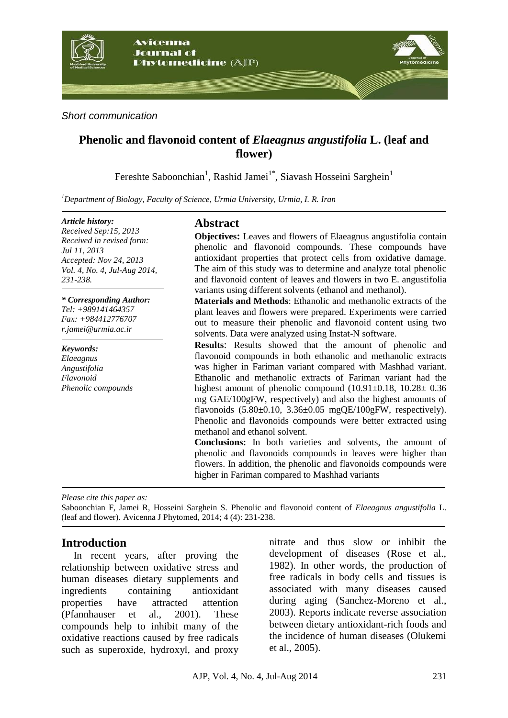

*Short communication*

# **Phenolic and flavonoid content of** *Elaeagnus angustifolia* **L. (leaf and flower)**

Fereshte Saboonchian<sup>1</sup>, Rashid Jamei<sup>1\*</sup>, Siavash Hosseini Sarghein<sup>1</sup>

*<sup>1</sup>Department of Biology, Faculty of Science, Urmia University, Urmia, I. R. Iran* 

#### *Article history:*

*Received Sep:15, 2013 Received in revised form: Jul 11, 2013 Accepted: Nov 24, 2013 Vol. 4, No. 4, Jul-Aug 2014, 231-238.*

#### *\* Corresponding Author:*

*Tel: +989141464357 Fax: +984412776707 r.jamei@urmia.ac.ir* 

*Keywords: Elaeagnus Angustifolia Flavonoid*

*Phenolic compounds*

### **Abstract**

**Objectives:** Leaves and flowers of Elaeagnus angustifolia contain phenolic and flavonoid compounds. These compounds have antioxidant properties that protect cells from oxidative damage. The aim of this study was to determine and analyze total phenolic and flavonoid content of leaves and flowers in two E. angustifolia variants using different solvents (ethanol and methanol).

**Materials and Methods**: Ethanolic and methanolic extracts of the plant leaves and flowers were prepared. Experiments were carried out to measure their phenolic and flavonoid content using two solvents. Data were analyzed using Instat-N software.

**Results**: Results showed that the amount of phenolic and flavonoid compounds in both ethanolic and methanolic extracts was higher in Fariman variant compared with Mashhad variant. Ethanolic and methanolic extracts of Fariman variant had the highest amount of phenolic compound  $(10.91\pm0.18, 10.28\pm0.36)$ mg GAE/100gFW, respectively) and also the highest amounts of flavonoids  $(5.80\pm0.10, 3.36\pm0.05 \text{ mgQE}/100 \text{gFW}, \text{respectively}).$ Phenolic and flavonoids compounds were better extracted using methanol and ethanol solvent.

**Conclusions:** In both varieties and solvents, the amount of phenolic and flavonoids compounds in leaves were higher than flowers. In addition, the phenolic and flavonoids compounds were higher in Fariman compared to Mashhad variants

*Please cite this paper as:* 

Saboonchian F, Jamei R, Hosseini Sarghein S. Phenolic and flavonoid content of *Elaeagnus angustifolia* L. (leaf and flower). Avicenna J Phytomed, 2014; 4 (4): 231-238.

### **Introduction**

In recent years, after proving the relationship between oxidative stress and human diseases dietary supplements and ingredients containing antioxidant properties have attracted attention (Pfannhauser et al., 2001). These compounds help to inhibit many of the oxidative reactions caused by free radicals such as superoxide, hydroxyl, and proxy nitrate and thus slow or inhibit the development of diseases (Rose et al., 1982). In other words, the production of free radicals in body cells and tissues is associated with many diseases caused during aging (Sanchez-Moreno et al., 2003). Reports indicate reverse association between dietary antioxidant-rich foods and the incidence of human diseases (Olukemi et al., 2005).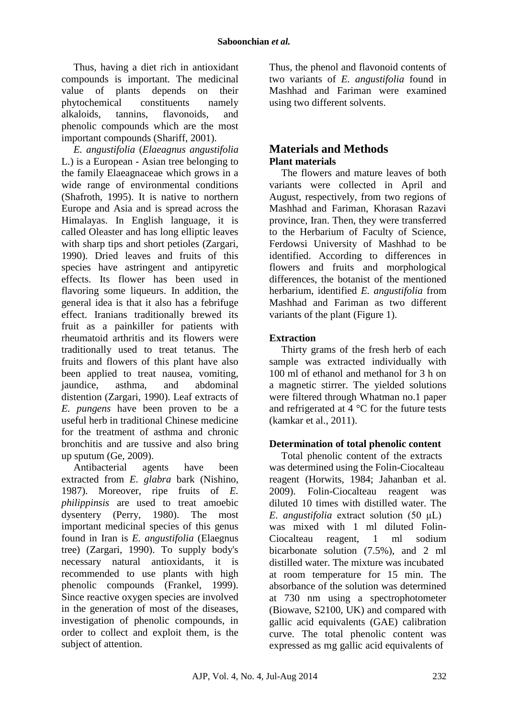Thus, having a diet rich in antioxidant compounds is important. The medicinal value of plants depends on their phytochemical constituents namely alkaloids, tannins, flavonoids, and phenolic compounds which are the most important compounds (Shariff, 2001).

*E. angustifolia* (*Elaeagnus angustifolia* L.) is a European - Asian tree belonging to the family Elaeagnaceae which grows in a wide range of environmental conditions (Shafroth, 1995). It is native to northern Europe and Asia and is spread across the Himalayas. In English language, it is called Oleaster and has long elliptic leaves with sharp tips and short petioles (Zargari, 1990). Dried leaves and fruits of this species have astringent and antipyretic effects. Its flower has been used in flavoring some liqueurs. In addition, the general idea is that it also has a febrifuge effect. Iranians traditionally brewed its fruit as a painkiller for patients with rheumatoid arthritis and its flowers were traditionally used to treat tetanus. The fruits and flowers of this plant have also been applied to treat nausea, vomiting, jaundice, asthma, and abdominal distention (Zargari, 1990). Leaf extracts of *E. pungens* have been proven to be a useful herb in traditional Chinese medicine for the treatment of asthma and chronic bronchitis and are tussive and also bring up sputum (Ge, 2009).

Antibacterial agents have been extracted from *E. glabra* bark (Nishino, 1987). Moreover, ripe fruits of *E. philippinsis* are used to treat amoebic dysentery (Perry, 1980). The most important medicinal species of this genus found in Iran is *E. angustifolia* (Elaegnus tree) (Zargari, 1990). To supply body's necessary natural antioxidants, it is recommended to use plants with high phenolic compounds (Frankel, 1999). Since reactive oxygen species are involved in the generation of most of the diseases, investigation of phenolic compounds, in order to collect and exploit them, is the subject of attention.

Thus, the phenol and flavonoid contents of two variants of *E. angustifolia* found in Mashhad and Fariman were examined using two different solvents.

## **Materials and Methods Plant materials**

The flowers and mature leaves of both variants were collected in April and August, respectively, from two regions of Mashhad and Fariman, Khorasan Razavi province, Iran. Then, they were transferred to the Herbarium of Faculty of Science, Ferdowsi University of Mashhad to be identified. According to differences in flowers and fruits and morphological differences, the botanist of the mentioned herbarium, identified *E. angustifolia* from Mashhad and Fariman as two different variants of the plant (Figure 1).

### **Extraction**

Thirty grams of the fresh herb of each sample was extracted individually with 100 ml of ethanol and methanol for 3 h on a magnetic stirrer. The yielded solutions were filtered through Whatman no.1 paper and refrigerated at 4 °C for the future tests (kamkar et al., 2011).

### **Determination of total phenolic content**

Total phenolic content of the extracts was determined using the Folin-Ciocalteau reagent (Horwits, 1984; Jahanban et al. 2009). Folin-Ciocalteau reagent was diluted 10 times with distilled water. The *E. angustifolia* extract solution (50 μL) was mixed with 1 ml diluted Folin-Ciocalteau reagent, 1 ml sodium bicarbonate solution (7.5%), and 2 ml distilled water. The mixture was incubated at room temperature for 15 min. The absorbance of the solution was determined at 730 nm using a spectrophotometer (Biowave, S2100, UK) and compared with gallic acid equivalents (GAE) calibration curve. The total phenolic content was expressed as mg gallic acid equivalents of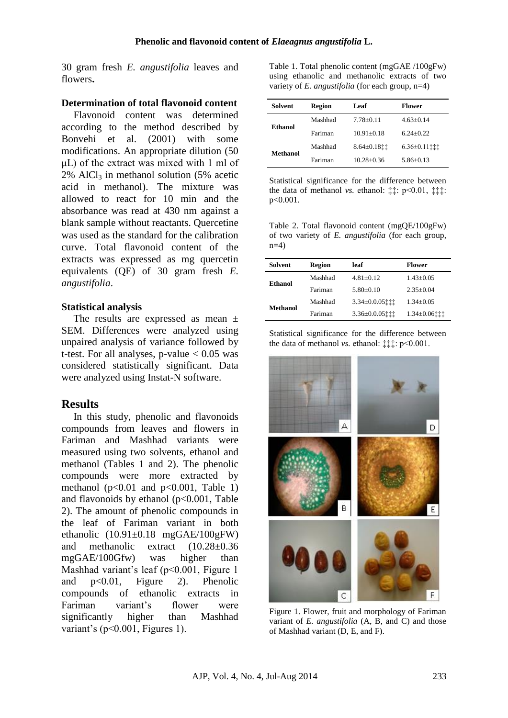30 gram fresh *E. angustifolia* leaves and flowers**.**

### **Determination of total flavonoid content**

Flavonoid content was determined according to the method described by Bonvehi et al. (2001) with some modifications. An appropriate dilution (50  $\mu$ L) of the extract was mixed with 1 ml of  $2\%$  AlCl<sub>3</sub> in methanol solution (5% acetic acid in methanol). The mixture was allowed to react for 10 min and the absorbance was read at 430 nm against a blank sample without reactants. Quercetine was used as the standard for the calibration curve. Total flavonoid content of the extracts was expressed as mg quercetin equivalents (QE) of 30 gram fresh *E. angustifolia*.

### **Statistical analysis**

The results are expressed as mean  $\pm$ SEM. Differences were analyzed using unpaired analysis of variance followed by t-test. For all analyses, p-value  $< 0.05$  was considered statistically significant. Data were analyzed using Instat-N software.

### **Results**

In this study, phenolic and flavonoids compounds from leaves and flowers in Fariman and Mashhad variants were measured using two solvents, ethanol and methanol (Tables 1 and 2). The phenolic compounds were more extracted by methanol ( $p<0.01$  and  $p<0.001$ , Table 1) and flavonoids by ethanol  $(p<0.001$ , Table 2). The amount of phenolic compounds in the leaf of Fariman variant in both ethanolic (10.91±0.18 mgGAE/100gFW) and methanolic extract (10.28±0.36 mgGAE/100Gfw) was higher than Mashhad variant's leaf ( $p<0.001$ , Figure 1 and p<0.01, Figure 2). Phenolic compounds of ethanolic extracts in Fariman variant's flower were significantly higher than Mashhad variant's ( $p<0.001$ , Figures 1).

Table 1. Total phenolic content (mgGAE /100gFw) using ethanolic and methanolic extracts of two variety of *E. angustifolia* (for each group, n=4)

| <b>Solvent</b> | <b>Region</b> | Leaf               | <b>Flower</b>   |
|----------------|---------------|--------------------|-----------------|
| Ethanol        | Mashhad       | $7.78 + 0.11$      | $4.63+0.14$     |
|                | Fariman       | $10.91 + 0.18$     | $6.24 + 0.22$   |
| Methanol       | Mashhad       | $8.64 \pm 0.18$ ii | $6.36 \pm 0.11$ |
|                | Fariman       | $10.28 + 0.36$     | $5.86 + 0.13$   |

Statistical significance for the difference between the data of methanol *vs.* ethanol: ‡‡: p<0.01, ‡‡‡: p<0.001.

Table 2. Total flavonoid content (mgQE/100gFw) of two variety of *E. angustifolia* (for each group,  $n=4$ )

| <b>Solvent</b> | <b>Region</b> | leaf              | <b>Flower</b>       |
|----------------|---------------|-------------------|---------------------|
| Ethanol        | Mashhad       | $4.81 + 0.12$     | $1.43 + 0.05$       |
|                | Fariman       | $5.80+0.10$       | $2.35+0.04$         |
| Methanol       | Mashhad       | $3.34 \pm 0.0.05$ | $1.34 + 0.05$       |
|                | Fariman       | $3.36 \pm 0.0.05$ | $1.34 \pm 0.06$ iii |

Statistical significance for the difference between the data of methanol *vs.* ethanol:‡‡‡:p<0.001.



Figure 1. Flower, fruit and morphology of Fariman variant of *E. angustifolia* (A, B, and C) and those of Mashhad variant (D, E, and F).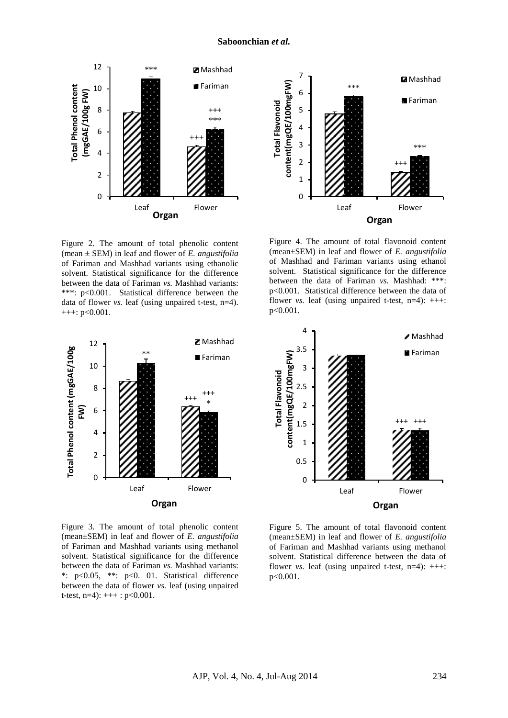

Figure 2. The amount of total phenolic content (mean ± SEM) in leaf and flower of *E. angustifolia*  of Fariman and Mashhad variants using ethanolic solvent. Statistical significance for the difference between the data of Fariman *vs.* Mashhad variants: \*\*\*: p<0.001. Statistical difference between the data of flower *vs.* leaf (using unpaired t-test, n=4). +++: p<0.001.



Figure 3. The amount of total phenolic content (mean±SEM) in leaf and flower of *E. angustifolia*  of Fariman and Mashhad variants using methanol solvent. Statistical significance for the difference between the data of Fariman *vs.* Mashhad variants: \*: p<0.05, \*\*: p<0. 01. Statistical difference between the data of flower *vs.* leaf (using unpaired t-test,  $n=4$ :  $++$ :  $p<0.001$ .



Figure 4. The amount of total flavonoid content (mean±SEM) in leaf and flower of *E. angustifolia*  of Mashhad and Fariman variants using ethanol solvent. Statistical significance for the difference between the data of Fariman *vs.* Mashhad: \*\*\*: p<0.001. Statistical difference between the data of flower *vs.* leaf (using unpaired t-test,  $n=4$ ):  $+++$ : p<0.001.



Figure 5. The amount of total flavonoid content (mean±SEM) in leaf and flower of *E. angustifolia*  of Fariman and Mashhad variants using methanol solvent. Statistical difference between the data of flower *vs.* leaf (using unpaired t-test,  $n=4$ ):  $+++$ : p<0.001.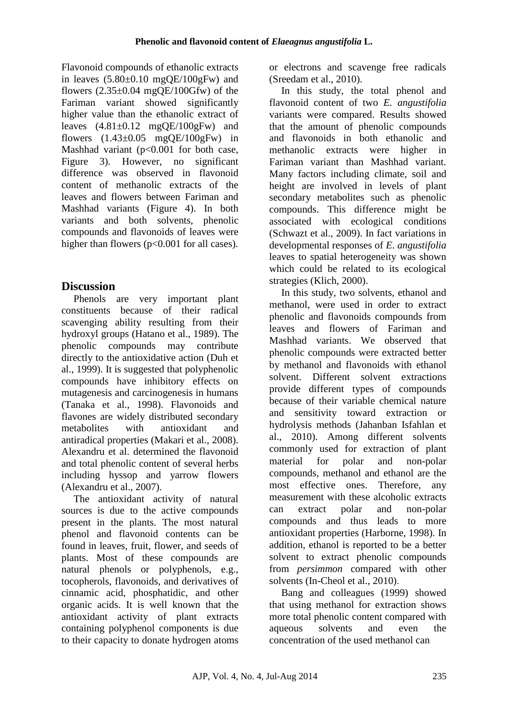Flavonoid compounds of ethanolic extracts in leaves  $(5.80\pm0.10 \text{ mgOE}/100 \text{gFw})$  and flowers  $(2.35\pm0.04 \text{ mgOE}/100\text{Gfw})$  of the Fariman variant showed significantly higher value than the ethanolic extract of leaves  $(4.81\pm0.12 \text{ mgQE}/100$ gFw) and flowers  $(1.43\pm0.05 \text{ mgOE}/100$ gFw) in Mashhad variant (p<0.001 for both case, Figure 3). However, no significant difference was observed in flavonoid content of methanolic extracts of the leaves and flowers between Fariman and Mashhad variants (Figure 4). In both variants and both solvents, phenolic compounds and flavonoids of leaves were higher than flowers (p<0.001 for all cases).

# **Discussion**

Phenols are very important plant constituents because of their radical scavenging ability resulting from their hydroxyl groups (Hatano et al., 1989). The phenolic compounds may contribute directly to the antioxidative action (Duh et al., 1999). It is suggested that polyphenolic compounds have inhibitory effects on mutagenesis and carcinogenesis in humans (Tanaka et al., 1998). Flavonoids and flavones are widely distributed secondary metabolites with antioxidant and antiradical properties (Makari et al., 2008). Alexandru et al. determined the flavonoid and total phenolic content of several herbs including hyssop and yarrow flowers (Alexandru et al., 2007).

The antioxidant activity of natural sources is due to the active compounds present in the plants. The most natural phenol and flavonoid contents can be found in leaves, fruit, flower, and seeds of plants. Most of these compounds are natural phenols or polyphenols, e.g., tocopherols, flavonoids, and derivatives of cinnamic acid, phosphatidic, and other organic acids. It is well known that the antioxidant activity of plant extracts containing polyphenol components is due to their capacity to donate hydrogen atoms or electrons and scavenge free radicals (Sreedam et al., 2010).

In this study, the total phenol and flavonoid content of two *E. angustifolia* variants were compared. Results showed that the amount of phenolic compounds and flavonoids in both ethanolic and methanolic extracts were higher in Fariman variant than Mashhad variant. Many factors including climate, soil and height are involved in levels of plant secondary metabolites such as phenolic compounds. This difference might be associated with ecological conditions (Schwazt et al., 2009). In fact variations in developmental responses of *E*. *angustifolia*  leaves to spatial heterogeneity was shown which could be related to its ecological strategies (Klich, 2000).

In this study, two solvents, ethanol and methanol, were used in order to extract phenolic and flavonoids compounds from leaves and flowers of Fariman and Mashhad variants. We observed that phenolic compounds were extracted better by methanol and flavonoids with ethanol solvent. Different solvent extractions provide different types of compounds because of their variable chemical nature and sensitivity toward extraction or hydrolysis methods (Jahanban Isfahlan et al., 2010). Among different solvents commonly used for extraction of plant material for polar and non-polar compounds, methanol and ethanol are the most effective ones. Therefore, any measurement with these alcoholic extracts can extract polar and non-polar compounds and thus leads to more antioxidant properties (Harborne, 1998). In addition, ethanol is reported to be a better solvent to extract phenolic compounds from *persimmon* compared with other solvents (In-Cheol et al., 2010).

Bang and colleagues (1999) showed that using methanol for extraction shows more total phenolic content compared with aqueous solvents and even the concentration of the used methanol can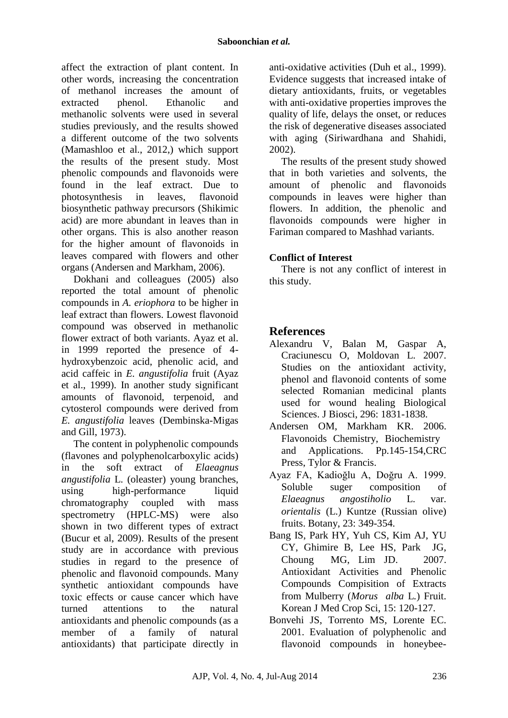affect the extraction of plant content. In other words, increasing the concentration of methanol increases the amount of extracted phenol. Ethanolic and methanolic solvents were used in several studies previously, and the results showed a different outcome of the two solvents (Mamashloo et al., 2012,) which support the results of the present study. Most phenolic compounds and flavonoids were found in the leaf extract. Due to photosynthesis in leaves, flavonoid biosynthetic pathway precursors (Shikimic acid) are more abundant in leaves than in other organs. This is also another reason for the higher amount of flavonoids in leaves compared with flowers and other organs (Andersen and Markham, 2006).

Dokhani and colleagues (2005) also reported the total amount of phenolic compounds in *A. eriophora* to be higher in leaf extract than flowers. Lowest flavonoid compound was observed in methanolic flower extract of both variants. Ayaz et al. in 1999 reported the presence of 4 hydroxybenzoic acid, phenolic acid, and acid caffeic in *E. angustifolia* fruit (Ayaz et al., 1999). In another study significant amounts of flavonoid, terpenoid, and cytosterol compounds were derived from *E. angustifolia* leaves (Dembinska-Migas and Gill, 1973).

The content in polyphenolic compounds (flavones and polyphenolcarboxylic acids) in the soft extract of *Elaeagnus angustifolia* L. (oleaster) young branches, using high-performance liquid chromatography coupled with mass spectrometry (HPLC-MS) were also shown in two different types of extract (Bucur et al, 2009). Results of the present study are in accordance with previous studies in regard to the presence of phenolic and flavonoid compounds. Many synthetic antioxidant compounds have toxic effects or cause cancer which have turned attentions to the natural antioxidants and phenolic compounds (as a member of a family of natural antioxidants) that participate directly in

anti-oxidative activities (Duh et al., 1999). Evidence suggests that increased intake of dietary antioxidants, fruits, or vegetables with anti-oxidative properties improves the quality of life, delays the onset, or reduces the risk of degenerative diseases associated with aging (Siriwardhana and Shahidi, 2002).

The results of the present study showed that in both varieties and solvents, the amount of phenolic and flavonoids compounds in leaves were higher than flowers. In addition, the phenolic and flavonoids compounds were higher in Fariman compared to Mashhad variants.

### **Conflict of Interest**

There is not any conflict of interest in this study.

## **References**

- Alexandru V, Balan M, Gaspar A, Craciunescu O, Moldovan L. 2007. Studies on the antioxidant activity, phenol and flavonoid contents of some selected Romanian medicinal plants used for wound healing Biological Sciences. J Biosci, 296: 1831-1838.
- Andersen OM, Markham KR. 2006. Flavonoids Chemistry, Biochemistry and Applications. Pp.145-154,CRC Press, Tylor & Francis.
- Ayaz FA, Kadioğlu A, Doğru A. 1999. Soluble suger composition of *Elaeagnus angostiholio* L. var. *orientalis* (L.) Kuntze (Russian olive) fruits. Botany, 23: 349-354.
- Bang IS, Park HY, Yuh CS, Kim AJ, YU CY, Ghimire B, Lee HS, Park JG, Choung MG, Lim JD. 2007. Antioxidant Activities and Phenolic Compounds Compisition of Extracts from Mulberry (*Morus alba* L*.*) Fruit. Korean J Med Crop Sci, 15: 120-127.
- Bonvehi JS, Torrento MS, Lorente EC. 2001. Evaluation of polyphenolic and flavonoid compounds in honeybee-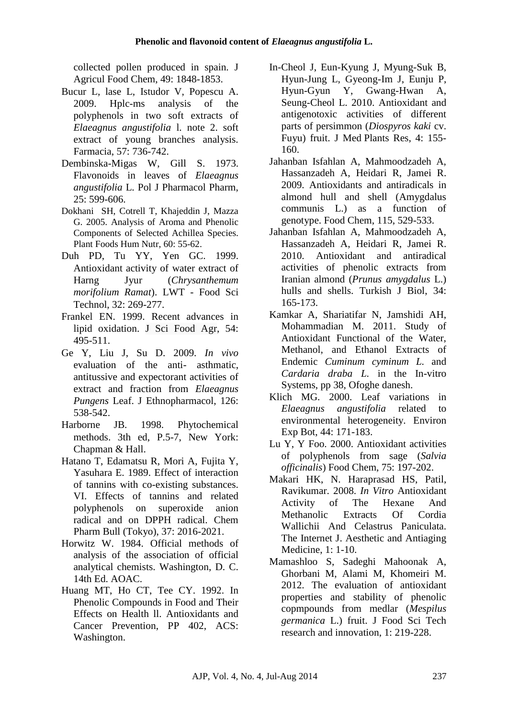collected pollen produced in spain. J Agricul Food Chem, 49: 1848-1853.

- Bucur L, lase L, Istudor V, Popescu A. 2009. Hplc-ms analysis of the polyphenols in two soft extracts of *Elaeagnus angustifolia* l. note 2. soft extract of young branches analysis. Farmacia, 57: 736-742.
- Dembinska-Migas W, Gill S. 1973. Flavonoids in leaves of *Elaeagnus angustifolia* L. Pol J Pharmacol Pharm, 25: 599-606.
- Dokhani SH, Cotrell T, Khajeddin J, Mazza G. 2005. Analysis of Aroma and Phenolic Components of Selected Achillea Species. Plant Foods Hum Nutr, 60: 55-62.
- Duh PD, Tu YY, Yen GC. 1999. Antioxidant activity of water extract of Harng Jyur (*Chrysanthemum morifolium Ramat*). LWT - Food Sci Technol, 32: 269-277.
- Frankel EN. 1999. Recent advances in lipid oxidation. J Sci Food Agr, 54: 495-511.
- Ge Y, Liu J, Su D. 2009. *In vivo* evaluation of the anti- asthmatic, antitussive and expectorant activities of extract and fraction from *Elaeagnus Pungens* Leaf. J Ethnopharmacol, 126: 538-542.
- Harborne JB. 1998. Phytochemical methods. 3th ed, P.5-7, New York: Chapman & Hall.
- Hatano T, Edamatsu R, Mori A, Fujita Y, Yasuhara E. 1989. Effect of interaction of tannins with co-existing substances. VI. Effects of tannins and related polyphenols on superoxide anion radical and on DPPH radical. Chem Pharm Bull (Tokyo), 37: 2016-2021.
- Horwitz W. 1984. Official methods of analysis of the association of official analytical chemists. Washington, D. C. 14th Ed. AOAC.
- Huang MT, Ho CT, Tee CY. 1992. In Phenolic Compounds in Food and Their Effects on Health ll. Antioxidants and Cancer Prevention, PP 402, ACS: Washington.
- In-Cheol J, Eun-Kyung J, Myung-Suk B, Hyun-Jung L, Gyeong-Im J, Eunju P, Hyun-Gyun Y, Gwang-Hwan A, Seung-Cheol L. 2010. Antioxidant and antigenotoxic activities of different parts of persimmon (*Diospyros kaki* cv. Fuyu) fruit. J Med Plants Res, 4: 155- 160.
- Jahanban Isfahlan A, Mahmoodzadeh A, Hassanzadeh A, Heidari R, Jamei R. 2009. Antioxidants and antiradicals in almond hull and shell (Amygdalus communis L.) as a function of genotype. Food Chem, 115, 529-533.
- Jahanban Isfahlan A, Mahmoodzadeh A, Hassanzadeh A, Heidari R, Jamei R. 2010. Antioxidant and antiradical activities of phenolic extracts from Iranian almond (*Prunus amygdalus* L.) hulls and shells. Turkish J Biol, 34: 165-173.
- Kamkar A, Shariatifar N, Jamshidi AH, Mohammadian M. 2011. Study of Antioxidant Functional of the Water, Methanol, and Ethanol Extracts of Endemic *Cuminum cyminum L.* and *Cardaria draba L.* in the In-vitro Systems, pp 38, Ofoghe danesh.
- Klich MG. 2000. Leaf variations in *Elaeagnus angustifolia* related to environmental heterogeneity. Environ Exp Bot, 44: 171-183.
- Lu Y, Y Foo. 2000. Antioxidant activities of polyphenols from sage (*Salvia officinalis*) Food Chem, 75: 197-202.
- Makari HK, N. Haraprasad HS, Patil, Ravikumar. 2008. *In Vitro* Antioxidant Activity of The Hexane And Methanolic Extracts Of Cordia Wallichii And Celastrus Paniculata. The Internet J. Aesthetic and Antiaging Medicine, 1: 1-10.
- Mamashloo S, Sadeghi Mahoonak A, Ghorbani M, Alami M, Khomeiri M. 2012. The evaluation of antioxidant properties and stability of phenolic copmpounds from medlar (*Mespilus germanica* L.) fruit. J Food Sci Tech research and innovation, 1: 219-228.